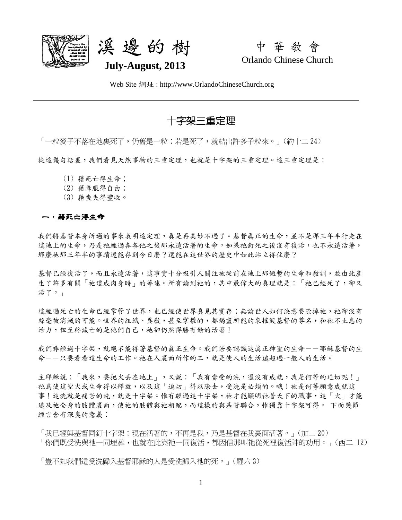



中 華 教 會 Orlando Chinese Church

Web Site 網址 : http://www.OrlandoChineseChurch.org

# 十字架三重定理

「一粒麥子不落在地裏死了,仍舊是一粒;若是死了,就結出許多子粒來。」(約十二 24)

從這幾句話裏,我們看見天然事物的三重定理,也就是十字架的三重定理。這三重定理是:

- (1) 藉死亡得生命;
- (2) 藉降服得自由;
- (3) 藉喪失得豐收。

### 一.藉死亡得生命

我們將基督本身所遇的事來表明這定理,真是再美妙不過了。基督真正的生命,並不是那三年半行走在 這地上的生命,乃是祂經過各各他之後那永遠活著的生命。如果祂釘死之後沒有復活,也不永遠活著, 那麼祂那三年半的事蹟還能存到今日麼?還能在這世界的歷史中如此站立得住麼?

基督已經復活了,而且永遠活著,這事實十分吸引人關注祂從前在地上那短暫的生命和敎訓,並由此產 生了許多有關「祂道成肉身時」的著述。所有論到祂的,其中最偉大的真理就是:「祂已經死了,卻又 活了。」

這經過死亡的生命已經掌管了世界,也已經使世界真見其實存;無論世人如何決意要除掉祂,祂卻沒有 絲毫被消滅的可能。世界的組織、異教,甚至掌權的,都竭盡所能的來摧毀基督的尊名,和祂不止息的 活力,但至終滅亡的是他們自己,祂卻仍然得勝有餘的活著!

我們非經過十字架,就絕不能得著基督的真正生命。我們若要認識這真正神聖的生命--耶穌基督的生 命--只要看看這生命的工作。祂在人裏面所作的工,就是使人的生活遠超過一般人的生活。

主耶穌說:「我來,要把火丢在地上」,又說:「我有當受的洗,還沒有成就,我是何等的迫切呢!」 祂為使這聖火或生命得以釋放,以及這「迫切」得以除去,受洗是必須的。哦!祂是何等願意成就這 事!這洗就是痛苦的洗,就是十字架。惟有經過這十字架,祂才能顯明祂普天下的職事,這「火」才能 遍及祂全身的肢體裏面,使祂的肢體與祂相配,而這樣的與基督聯合,惟獨靠十字架可得。 下面幾節 經言含有深奧的意義:

「我已經與基督同釘十字架;現在活著的,不再是我,乃是基督在我裏面活著。」(加二 20) 「你們既受洗與祂一同埋葬,也就在此與祂一同復活,都因信那叫祂從死裡復活神的功用。」(西二 12)

「豈不知我們這受洗歸入基督耶穌的人是受洗歸入祂的死。」(羅六 3)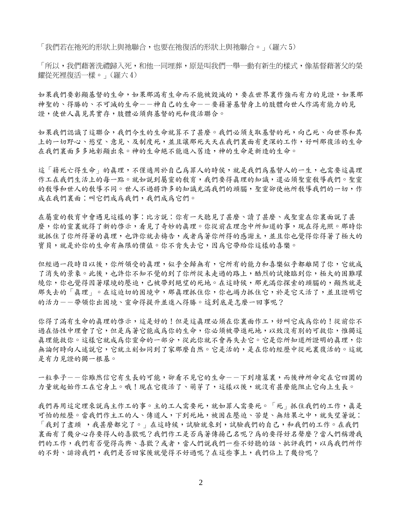「我們若在祂死的形狀上與祂聯合,也要在祂復活的形狀上與祂聯合。」(羅六 5)

「所以,我們藉著洗禮歸入死,和他一同埋葬,原是叫我們一舉一動有新生的樣式,像基督藉著父的榮 耀從死裡復活一樣。」(羅六 4)

如果我們要彰顯基督的生命,如果那滿有生命而不能被毀滅的,要在世界裏作強而有力的見證,如果那 神聖的、得勝的、不可滅的生命--神自己的生命--要藉著基督身上的肢體向世人作滿有能力的見 證,使世人真見其實存,肢體必須與基督的死和復活聯合。

如果我們認識了這聯合,我們今生的生命就算不了甚麼。我們必須支取基督的死,向已死、向世界和其 上的一切野心、慾望、意見、及制度死,並且讓那死天天在我們裏面有更深的工作,好叫那復活的生命 在我們裏面多多地彰顯出來。神的生命絕不能進入舊造,神的生命是新造的生命。

這「藉死亡得生命」的真理,不僅適用於自己為罪人的時侯,就是我們為基督人的一生,也需要這真理 作工在我們生活上的每一點。就如說到屬靈的教育,我們要得真理的知識,還必須聖靈教導我們。聖靈 的教導和世人的教導不同。世人不過將許多的知識充滿我們的頭腦,聖靈卻使祂所教導我們的一切,作 成在我們裏面;叫它們成為我們,我們成為它們。

在屬靈的教育中會遇見這樣的事:比方說:你有一天聽見了甚麼、讀了甚麼、或聖靈在你裏面說了甚 麼,你的靈裏就得了新的啓示,看見了奇妙的真理。你從前在理念中所知道的事,現在得光照。那時你 就抓住了你所得著的真理,也許你就去禱告,或者為著你所得的感謝主,並且你也覺得你得著了極大的 寶貝,就是於你的生命有無限的價值。你不肯失去它,因為它帶給你這樣的喜樂。

但經過一段時日以後,你所領受的真理,似乎全歸無有,它所有的能力和喜樂似乎都離開了你,它就成 了消失的景象。此後,也許你不知不覺的到了你所從未走過的路上,酷烈的試煉臨到你,極大的困難環 续你,你也覺得因著環境的壓迫,已被帶到絕望的死地。在這時候,那充滿你探索的頭腦的,顯然就是 那失去的「真理」。在這迫切的困境中,那真理抓住你,你也竭力抓住它,於是它又活了,並且證明它 的活力--带領你出困境、靈命得提升並進入得勝。這到底是怎麼一回事呢?

你得了滿有生命的真理的啓示,這是好的!但是這真理必須在你裏面作工,好叫它成為你的!從前你不 過在悟性中理會了它,但是為著它能成為你的生命,你必須被帶進死地,以致沒有別的可救你,惟獨這 真理能救你。這樣它就成為你靈命的一部分,從此你就不會再失去它。它是你所知道所證明的真理,你 無論何時向人述説它,它就立刻如同到了家那麼自然。它是活的,是在你的經歷中從死裏復活的。這就 是有力見證的獨一根基。

一粒麥子--你雖然信它有生長的可能,卻看不見它的生命--下到墳墓裏,而後神所命定在它四圍的 力量就起始作工在它身上。現在它復活了、萌芽了,這樣以後,就沒有甚麼能阻止它向上生長。

我們再用這定理來說為主作工的事。主的工人需要死,就如罪人需要死。「死」抓住我們的工作,真是 可怕的經歷。當我們作主工的人、傳道人,下到死地,被困在壓迫、苦楚、無結果之中,就失望著說: 「我到了盡頭 ,我甚麼都完了。」在這時候,試驗就來到,試驗我們的自己,和我們的工作。在我們 裏面有了幾分心存要得人的喜歡呢?我們作工是否為著傳揚己名呢?為的要得好名聲麼?當人們稱讚我 們的工作,我們有否覺得高興、喜歡?或者,當人們說我們一些不好聽的話、批評我們,以為我們所作 的不對、誹謗我們,我們是否回家後就覺得不好過呢?在這些事上,我們佔上了幾份呢?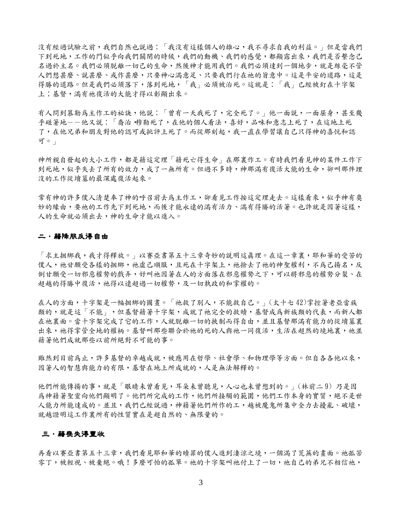沒有經過試驗之前,我們自然也說過:「我沒有這樣個人的雄心,我不尋求自我的利益。」但是當我們 下到死地,工作的門似乎向我們關閉的時候,我們的動機、我們的感覺,都顯露出來,我們是否繫念已 名過於主名。我們必須脫離一切己的生命,然後神才能用我們。我們必須達到一個地步,就是絲毫不管 人們想甚麼、說甚麼、或作甚麼,只要神心滿意足、只要我們行在祂的旨意中。這是平安的道路,這是 得勝的道路。但是我們必須落下,落到死地,「我」必須被治死。這就是:「我」已經被釘在十字架 上;基督,滿有祂復活的大能才得以彰顯出來。

有人問到慕勒為主作工的祕訣,他說:「曾有一天我死了,完全死了。」他一面說,一面屈身,甚至幾 乎碰著地--他又説:「喬治•穆勒死了,在他的個人看法,喜好,品味和意志上死了,在這地上死 了,在他兄弟和朋友對他的認可或批評上死了。而從那刻起,我一直在學習讓自己只得神的喜悦和認 可。」

神所親自發起的大小工作,都是藉這定理「藉死亡得生命」在那裏作工。有時我們看見神的某件工作下 到死地,似乎失去了所有的效力,成了一無所有。但過不多時,神那滿有復活大能的生命,卻叫那件埋 沒的工作從墳墓的最深處復活起來。

常有神的許多僕人清楚奉了神的呼召前去爲主作工,卻看見工作按這定理走去。這樣看來,似乎神有奧 妙的緣由,要祂的工作先下到死地,而後才能永遠的滿有活力、滿有得勝的活著。也許就是因著這樣, 人的生命就必須出去,神的生命才能以進入。

#### 二.藉降服反得自由

「求主捆綁我,我才得釋放。」以賽亞書第五十三章奇妙的説明這真理。在這一章裏,耶和華的受苦的 僕人,祂甘願受各樣的捆綁,祂虛己順服,且死在十字架上,祂捨去了祂的神聖權利,不為己揚名,反 倒甘願受一切邪惡權勢的戲弄,好叫祂因著在人的方面落在邪惡權勢之下,可以將邪惡的權勢分裂、在 超越的得勝中復活,祂得以遠超過一切權勢,及一切執政的和掌權的。

在人的方面,十字架是一幅捆綁的圖書。「祂救了別人,不能救自己。」(太十七42)掌控著老亞當族 類的,就是這「不能」,但基督藉著十字架,成就了祂完全的救贖,具督成為新族類的代表,而新人都 在祂裏面。當十字架完成了它的工作,人就脫離一切的挾制而得自由,並且基督那滿有能力的從墳墓裏 出來,祂得掌管全地的權柄。基督叫那些聯合於祂的死的人與祂一同復活,生活在超然的境地裏,祂並 藉著他們成就那些以前所絕對不可能的事。

雖然到目前為上,許多基督的卓越成就,被應用在哲學、社會學、和物理學等方面。但自各各他以來, 因著人的智慧與能力的有限,基督在地上所成就的,人是無法解釋的。

他們所能傳揚的事,就是「眼睛未曾看見,耳朵未曾聽見,人心也未曾想到的。」(林前二9) 乃是因 為神藉著聖靈向他們顯明了。他們所完成的工作,他們所接觸的範圍,他們工作本身的實質,絕不是世 人能力所能達成的。並且,我們已經說過,神藉著他們所作的工,越被魔鬼所集中全力去擾亂、破壞, 就越證明這工作裏所有的性質實在是超自然的、無限量的。

#### 三.藉喪失得豐收

再看以賽亞書第五十三章,我們看見耶和華的贖罪的僕人進到淒涼之境,一個滿了荒蕪的畫面。祂孤苦 零丁,被輕視、被棄絕。哦!多麼可怕的孤單。祂的十字架叫祂付上了一切,祂自己的弟兄不相信祂,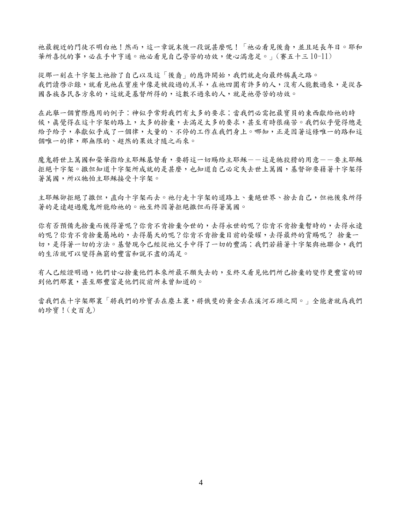祂最親近的門徒不明白祂!然而,這一章說末後一段說甚麼呢!「祂必看見後裔,並且延長年日。耶和 華所喜悅的事,必在手中亨通。祂必看見自己勞苦的功效,便心滿意足。」(賽五十三 10-11)

從那一刻在十字架上祂捨了自己以及這「後裔」的應許開始,我們就走向最終稱義之路。 我們讀啓示錄,就看見祂在寶座中像是被殺過的羔羊,在祂四圍有許多的人,沒有人能數過來,是從各 國各族各民各方來的,這就是基督所得的,這數不過來的人,就是祂勞苦的功效。

在此舉一個實際應用的例子:神似乎常對我們有太多的要求;當我們必需把最寶貝的東西獻給祂的時 候,真覺得在這十字架的路上,太多的接棄,去滿足太多的要求,甚至有時很痛苦。我們似乎覺得總是 給予給予,奉獻似乎成了一個律,大量的、不停的工作在我們身上。哪知,正是因著這條唯一的路和這 個唯一的律,那無限的、超然的果效才隨之而來。

魔鬼將世上萬國和榮華指給主耶穌基督看,要將這一切賜給主耶穌--這是牠狡猾的用意--要主耶穌 拒絕十字架。撒但知道十字架所成就的是甚麼,也知道自己必定失去世上萬國,基督卻要藉著十字架得 著萬國,所以牠怕主耶穌接受十字架。

主耶穌卻拒絕了撒但,直向十字架而去。祂行走十字架的道路上、棄絕世界、捨去自己,但祂後來所得 著的是遠超過魔鬼所能給祂的。祂至終因著拒絕撒但而得著萬國。

你有否預備先捨棄而後得著呢?你肯不肯捨棄今世的,去得永世的呢?你肯不肯捨棄暫時的,去得永遠 的呢?你肯不肯捨棄屬地的,去得屬天的呢?你肯不肯捨棄目前的榮耀,去得最終的賞賜呢? 捨棄一 切,是得著一切的方法。基督現今已經從祂父手中得了一切的豐滿;我們若藉著十字架與祂聯合,我們 的生活就可以變得無窮的豐富和說不盡的滿足。

有人已經證明過,他們甘心捨棄他們本來所最不願失去的,至終又看見他們所已捨棄的變作更豐富的回 到他們那裏,甚至那豐富是他們從前所未曾知道的。

常我們在十字架那裏「將我們的珍寶丢在塵土裏,將俄斐的黃金丢在溪河石頭之間。」全能者就爲我們 的珍寶!(史百克)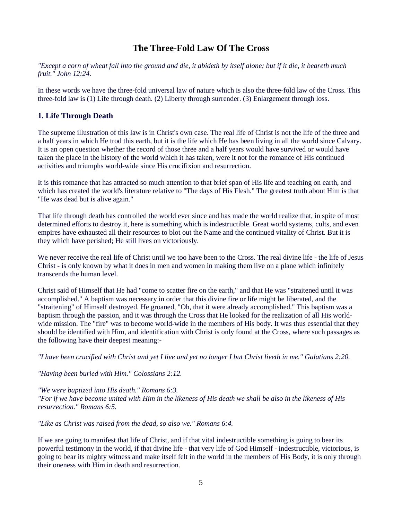## **The Three-Fold Law Of The Cross**

*"Except a corn of wheat fall into the ground and die, it abideth by itself alone; but if it die, it beareth much fruit." John 12:24.* 

In these words we have the three-fold universal law of nature which is also the three-fold law of the Cross. This three-fold law is (1) Life through death. (2) Liberty through surrender. (3) Enlargement through loss.

## **1. Life Through Death**

The supreme illustration of this law is in Christ's own case. The real life of Christ is not the life of the three and a half years in which He trod this earth, but it is the life which He has been living in all the world since Calvary. It is an open question whether the record of those three and a half years would have survived or would have taken the place in the history of the world which it has taken, were it not for the romance of His continued activities and triumphs world-wide since His crucifixion and resurrection.

It is this romance that has attracted so much attention to that brief span of His life and teaching on earth, and which has created the world's literature relative to "The days of His Flesh." The greatest truth about Him is that "He was dead but is alive again."

That life through death has controlled the world ever since and has made the world realize that, in spite of most determined efforts to destroy it, here is something which is indestructible. Great world systems, cults, and even empires have exhausted all their resources to blot out the Name and the continued vitality of Christ. But it is they which have perished; He still lives on victoriously.

We never receive the real life of Christ until we too have been to the Cross. The real divine life - the life of Jesus Christ - is only known by what it does in men and women in making them live on a plane which infinitely transcends the human level.

Christ said of Himself that He had "come to scatter fire on the earth," and that He was "straitened until it was accomplished." A baptism was necessary in order that this divine fire or life might be liberated, and the "straitening" of Himself destroyed. He groaned, "Oh, that it were already accomplished." This baptism was a baptism through the passion, and it was through the Cross that He looked for the realization of all His worldwide mission. The "fire" was to become world-wide in the members of His body. It was thus essential that they should be identified with Him, and identification with Christ is only found at the Cross, where such passages as the following have their deepest meaning:-

*"I have been crucified with Christ and yet I live and yet no longer I but Christ liveth in me." Galatians 2:20.* 

*"Having been buried with Him." Colossians 2:12.* 

*"We were baptized into His death." Romans 6:3.* 

*"For if we have become united with Him in the likeness of His death we shall be also in the likeness of His resurrection." Romans 6:5.* 

*"Like as Christ was raised from the dead, so also we." Romans 6:4.* 

If we are going to manifest that life of Christ, and if that vital indestructible something is going to bear its powerful testimony in the world, if that divine life - that very life of God Himself - indestructible, victorious, is going to bear its mighty witness and make itself felt in the world in the members of His Body, it is only through their oneness with Him in death and resurrection.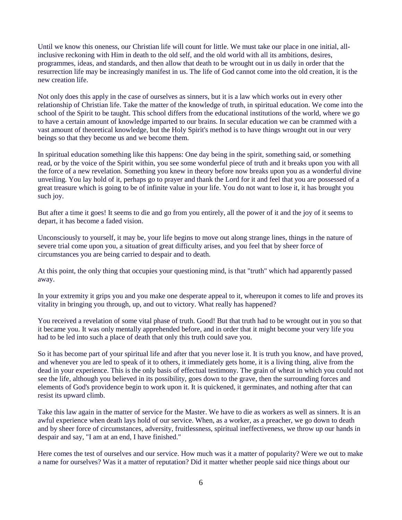Until we know this oneness, our Christian life will count for little. We must take our place in one initial, allinclusive reckoning with Him in death to the old self, and the old world with all its ambitions, desires, programmes, ideas, and standards, and then allow that death to be wrought out in us daily in order that the resurrection life may be increasingly manifest in us. The life of God cannot come into the old creation, it is the new creation life.

Not only does this apply in the case of ourselves as sinners, but it is a law which works out in every other relationship of Christian life. Take the matter of the knowledge of truth, in spiritual education. We come into the school of the Spirit to be taught. This school differs from the educational institutions of the world, where we go to have a certain amount of knowledge imparted to our brains. In secular education we can be crammed with a vast amount of theoretical knowledge, but the Holy Spirit's method is to have things wrought out in our very beings so that they become us and we become them.

In spiritual education something like this happens: One day being in the spirit, something said, or something read, or by the voice of the Spirit within, you see some wonderful piece of truth and it breaks upon you with all the force of a new revelation. Something you knew in theory before now breaks upon you as a wonderful divine unveiling. You lay hold of it, perhaps go to prayer and thank the Lord for it and feel that you are possessed of a great treasure which is going to be of infinite value in your life. You do not want to lose it, it has brought you such joy.

But after a time it goes! It seems to die and go from you entirely, all the power of it and the joy of it seems to depart, it has become a faded vision.

Unconsciously to yourself, it may be, your life begins to move out along strange lines, things in the nature of severe trial come upon you, a situation of great difficulty arises, and you feel that by sheer force of circumstances you are being carried to despair and to death.

At this point, the only thing that occupies your questioning mind, is that "truth" which had apparently passed away.

In your extremity it grips you and you make one desperate appeal to it, whereupon it comes to life and proves its vitality in bringing you through, up, and out to victory. What really has happened?

You received a revelation of some vital phase of truth. Good! But that truth had to be wrought out in you so that it became you. It was only mentally apprehended before, and in order that it might become your very life you had to be led into such a place of death that only this truth could save you.

So it has become part of your spiritual life and after that you never lose it. It is truth you know, and have proved, and whenever you are led to speak of it to others, it immediately gets home, it is a living thing, alive from the dead in your experience. This is the only basis of effectual testimony. The grain of wheat in which you could not see the life, although you believed in its possibility, goes down to the grave, then the surrounding forces and elements of God's providence begin to work upon it. It is quickened, it germinates, and nothing after that can resist its upward climb.

Take this law again in the matter of service for the Master. We have to die as workers as well as sinners. It is an awful experience when death lays hold of our service. When, as a worker, as a preacher, we go down to death and by sheer force of circumstances, adversity, fruitlessness, spiritual ineffectiveness, we throw up our hands in despair and say, "I am at an end, I have finished."

Here comes the test of ourselves and our service. How much was it a matter of popularity? Were we out to make a name for ourselves? Was it a matter of reputation? Did it matter whether people said nice things about our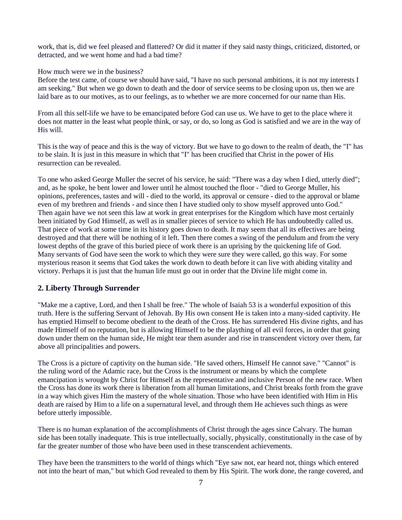work, that is, did we feel pleased and flattered? Or did it matter if they said nasty things, criticized, distorted, or detracted, and we went home and had a bad time?

### How much were we in the business?

Before the test came, of course we should have said, "I have no such personal ambitions, it is not my interests I am seeking." But when we go down to death and the door of service seems to be closing upon us, then we are laid bare as to our motives, as to our feelings, as to whether we are more concerned for our name than His.

From all this self-life we have to be emancipated before God can use us. We have to get to the place where it does not matter in the least what people think, or say, or do, so long as God is satisfied and we are in the way of His will.

This is the way of peace and this is the way of victory. But we have to go down to the realm of death, the "I" has to be slain. It is just in this measure in which that "I" has been crucified that Christ in the power of His resurrection can be revealed.

To one who asked George Muller the secret of his service, he said: "There was a day when I died, utterly died"; and, as he spoke, he bent lower and lower until he almost touched the floor - "died to George Muller, his opinions, preferences, tastes and will - died to the world, its approval or censure - died to the approval or blame even of my brethren and friends - and since then I have studied only to show myself approved unto God." Then again have we not seen this law at work in great enterprises for the Kingdom which have most certainly been initiated by God Himself, as well as in smaller pieces of service to which He has undoubtedly called us. That piece of work at some time in its history goes down to death. It may seem that all its effectives are being destroyed and that there will be nothing of it left. Then there comes a swing of the pendulum and from the very lowest depths of the grave of this buried piece of work there is an uprising by the quickening life of God. Many servants of God have seen the work to which they were sure they were called, go this way. For some mysterious reason it seems that God takes the work down to death before it can live with abiding vitality and victory. Perhaps it is just that the human life must go out in order that the Divine life might come in.

### **2. Liberty Through Surrender**

"Make me a captive, Lord, and then I shall be free." The whole of Isaiah 53 is a wonderful exposition of this truth. Here is the suffering Servant of Jehovah. By His own consent He is taken into a many-sided captivity. He has emptied Himself to become obedient to the death of the Cross. He has surrendered His divine rights, and has made Himself of no reputation, but is allowing Himself to be the plaything of all evil forces, in order that going down under them on the human side, He might tear them asunder and rise in transcendent victory over them, far above all principalities and powers.

The Cross is a picture of captivity on the human side. "He saved others, Himself He cannot save." "Cannot" is the ruling word of the Adamic race, but the Cross is the instrument or means by which the complete emancipation is wrought by Christ for Himself as the representative and inclusive Person of the new race. When the Cross has done its work there is liberation from all human limitations, and Christ breaks forth from the grave in a way which gives Him the mastery of the whole situation. Those who have been identified with Him in His death are raised by Him to a life on a supernatural level, and through them He achieves such things as were before utterly impossible.

There is no human explanation of the accomplishments of Christ through the ages since Calvary. The human side has been totally inadequate. This is true intellectually, socially, physically, constitutionally in the case of by far the greater number of those who have been used in these transcendent achievements.

They have been the transmitters to the world of things which "Eye saw not, ear heard not, things which entered not into the heart of man," but which God revealed to them by His Spirit. The work done, the range covered, and